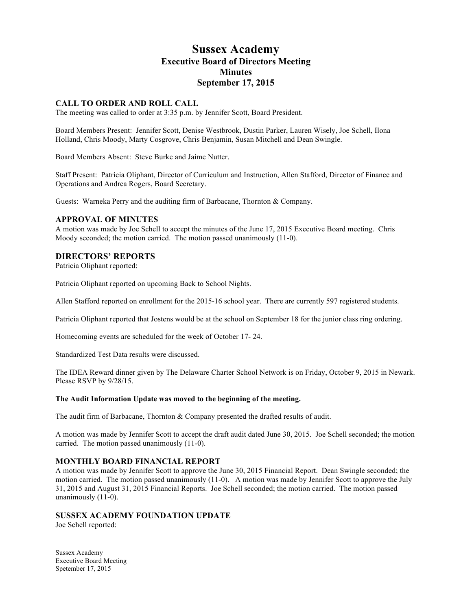# **Sussex Academy Executive Board of Directors Meeting Minutes September 17, 2015**

## **CALL TO ORDER AND ROLL CALL**

The meeting was called to order at 3:35 p.m. by Jennifer Scott, Board President.

Board Members Present: Jennifer Scott, Denise Westbrook, Dustin Parker, Lauren Wisely, Joe Schell, Ilona Holland, Chris Moody, Marty Cosgrove, Chris Benjamin, Susan Mitchell and Dean Swingle.

Board Members Absent: Steve Burke and Jaime Nutter.

Staff Present: Patricia Oliphant, Director of Curriculum and Instruction, Allen Stafford, Director of Finance and Operations and Andrea Rogers, Board Secretary.

Guests: Warneka Perry and the auditing firm of Barbacane, Thornton & Company.

#### **APPROVAL OF MINUTES**

A motion was made by Joe Schell to accept the minutes of the June 17, 2015 Executive Board meeting. Chris Moody seconded; the motion carried. The motion passed unanimously (11-0).

## **DIRECTORS' REPORTS**

Patricia Oliphant reported:

Patricia Oliphant reported on upcoming Back to School Nights.

Allen Stafford reported on enrollment for the 2015-16 school year. There are currently 597 registered students.

Patricia Oliphant reported that Jostens would be at the school on September 18 for the junior class ring ordering.

Homecoming events are scheduled for the week of October 17- 24.

Standardized Test Data results were discussed.

The IDEA Reward dinner given by The Delaware Charter School Network is on Friday, October 9, 2015 in Newark. Please RSVP by 9/28/15.

#### **The Audit Information Update was moved to the beginning of the meeting.**

The audit firm of Barbacane, Thornton & Company presented the drafted results of audit.

A motion was made by Jennifer Scott to accept the draft audit dated June 30, 2015. Joe Schell seconded; the motion carried. The motion passed unanimously (11-0).

#### **MONTHLY BOARD FINANCIAL REPORT**

A motion was made by Jennifer Scott to approve the June 30, 2015 Financial Report. Dean Swingle seconded; the motion carried. The motion passed unanimously (11-0). A motion was made by Jennifer Scott to approve the July 31, 2015 and August 31, 2015 Financial Reports. Joe Schell seconded; the motion carried. The motion passed unanimously (11-0).

## **SUSSEX ACADEMY FOUNDATION UPDATE**

Joe Schell reported:

Sussex Academy Executive Board Meeting Spetember 17, 2015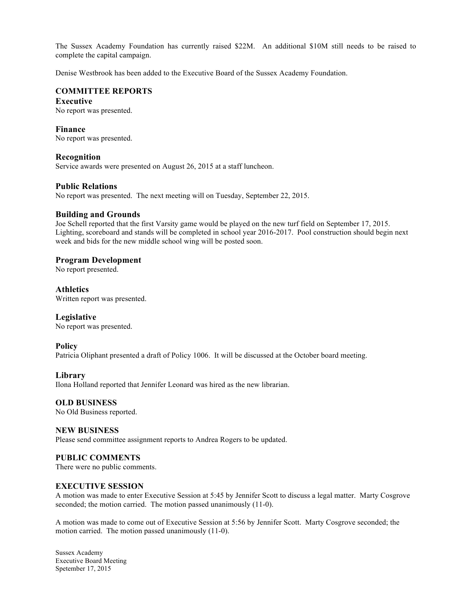The Sussex Academy Foundation has currently raised \$22M. An additional \$10M still needs to be raised to complete the capital campaign.

Denise Westbrook has been added to the Executive Board of the Sussex Academy Foundation.

## **COMMITTEE REPORTS**

## **Executive**

No report was presented.

#### **Finance**

No report was presented.

## **Recognition**

Service awards were presented on August 26, 2015 at a staff luncheon.

## **Public Relations**

No report was presented. The next meeting will on Tuesday, September 22, 2015.

## **Building and Grounds**

Joe Schell reported that the first Varsity game would be played on the new turf field on September 17, 2015. Lighting, scoreboard and stands will be completed in school year 2016-2017. Pool construction should begin next week and bids for the new middle school wing will be posted soon.

## **Program Development**

No report presented.

## **Athletics**

Written report was presented.

## **Legislative**

No report was presented.

## **Policy**

Patricia Oliphant presented a draft of Policy 1006. It will be discussed at the October board meeting.

## **Library**

Ilona Holland reported that Jennifer Leonard was hired as the new librarian.

# **OLD BUSINESS**

No Old Business reported.

## **NEW BUSINESS**

Please send committee assignment reports to Andrea Rogers to be updated.

## **PUBLIC COMMENTS**

There were no public comments.

## **EXECUTIVE SESSION**

A motion was made to enter Executive Session at 5:45 by Jennifer Scott to discuss a legal matter. Marty Cosgrove seconded; the motion carried. The motion passed unanimously (11-0).

A motion was made to come out of Executive Session at 5:56 by Jennifer Scott. Marty Cosgrove seconded; the motion carried. The motion passed unanimously (11-0).

Sussex Academy Executive Board Meeting Spetember 17, 2015